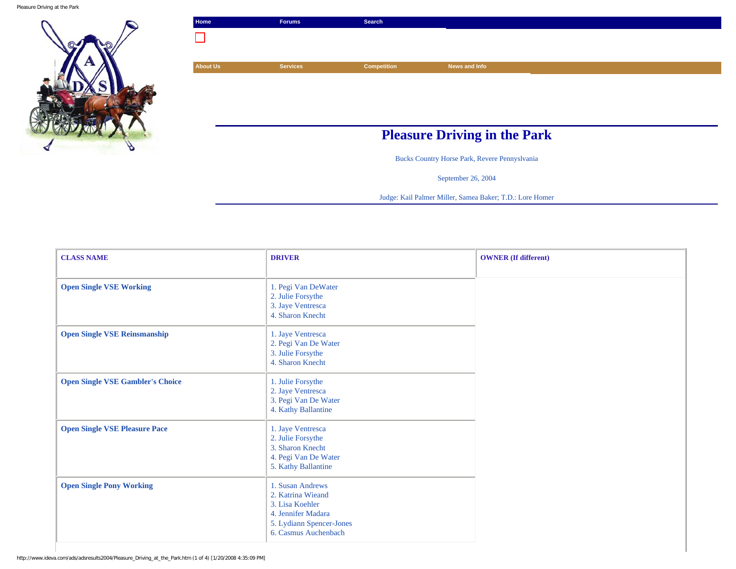Pleasure Driving at the Park



| Home            | <b>Forums</b>                       | Search             |               |
|-----------------|-------------------------------------|--------------------|---------------|
|                 |                                     |                    |               |
| <b>About Us</b> | <b>Services</b>                     | <b>Competition</b> | News and Info |
|                 |                                     |                    |               |
|                 |                                     |                    |               |
|                 |                                     |                    |               |
|                 | <b>Pleasure Driving in the Park</b> |                    |               |
|                 |                                     |                    |               |

Bucks Country Horse Park, Revere Pennyslvania

September 26, 2004

Judge: Kail Palmer Miller, Samea Baker; T.D.: Lore Homer

| <b>CLASS NAME</b>                       | <b>DRIVER</b>                                                                                                                      | <b>OWNER</b> (If different) |
|-----------------------------------------|------------------------------------------------------------------------------------------------------------------------------------|-----------------------------|
| <b>Open Single VSE Working</b>          | 1. Pegi Van DeWater<br>2. Julie Forsythe<br>3. Jaye Ventresca<br>4. Sharon Knecht                                                  |                             |
| <b>Open Single VSE Reinsmanship</b>     | 1. Jaye Ventresca<br>2. Pegi Van De Water<br>3. Julie Forsythe<br>4. Sharon Knecht                                                 |                             |
| <b>Open Single VSE Gambler's Choice</b> | 1. Julie Forsythe<br>2. Jaye Ventresca<br>3. Pegi Van De Water<br>4. Kathy Ballantine                                              |                             |
| <b>Open Single VSE Pleasure Pace</b>    | 1. Jaye Ventresca<br>2. Julie Forsythe<br>3. Sharon Knecht<br>4. Pegi Van De Water<br>5. Kathy Ballantine                          |                             |
| <b>Open Single Pony Working</b>         | 1. Susan Andrews<br>2. Katrina Wieand<br>3. Lisa Koehler<br>4. Jennifer Madara<br>5. Lydiann Spencer-Jones<br>6. Casmus Auchenbach |                             |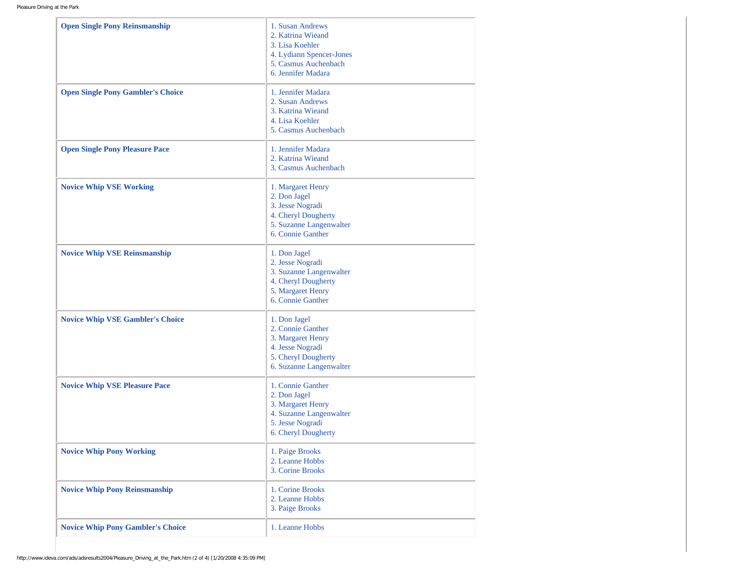| <b>Open Single Pony Reinsmanship</b>     | 1. Susan Andrews<br>2. Katrina Wieand<br>3. Lisa Koehler<br>4. Lydiann Spencer-Jones<br>5. Casmus Auchenbach<br>6. Jennifer Madara |
|------------------------------------------|------------------------------------------------------------------------------------------------------------------------------------|
| <b>Open Single Pony Gambler's Choice</b> | 1. Jennifer Madara<br>2. Susan Andrews<br>3. Katrina Wieand<br>4. Lisa Koehler<br>5. Casmus Auchenbach                             |
| <b>Open Single Pony Pleasure Pace</b>    | 1. Jennifer Madara<br>2. Katrina Wieand<br>3. Casmus Auchenbach                                                                    |
| <b>Novice Whip VSE Working</b>           | 1. Margaret Henry<br>2. Don Jagel<br>3. Jesse Nogradi<br>4. Cheryl Dougherty<br>5. Suzanne Langenwalter<br>6. Connie Ganther       |
| <b>Novice Whip VSE Reinsmanship</b>      | 1. Don Jagel<br>2. Jesse Nogradi<br>3. Suzanne Langenwalter<br>4. Cheryl Dougherty<br>5. Margaret Henry<br>6. Connie Ganther       |
| <b>Novice Whip VSE Gambler's Choice</b>  | 1. Don Jagel<br>2. Connie Ganther<br>3. Margaret Henry<br>4. Jesse Nogradi<br>5. Cheryl Dougherty<br>6. Suzanne Langenwalter       |
| <b>Novice Whip VSE Pleasure Pace</b>     | 1. Connie Ganther<br>2. Don Jagel<br>3. Margaret Henry<br>4. Suzanne Langenwalter<br>5. Jesse Nogradi<br>6. Cheryl Dougherty       |
| <b>Novice Whip Pony Working</b>          | 1. Paige Brooks<br>2. Leanne Hobbs<br>3. Corine Brooks                                                                             |
| <b>Novice Whip Pony Reinsmanship</b>     | 1. Corine Brooks<br>2. Leanne Hobbs<br>3. Paige Brooks                                                                             |
| <b>Novice Whip Pony Gambler's Choice</b> | 1. Leanne Hobbs                                                                                                                    |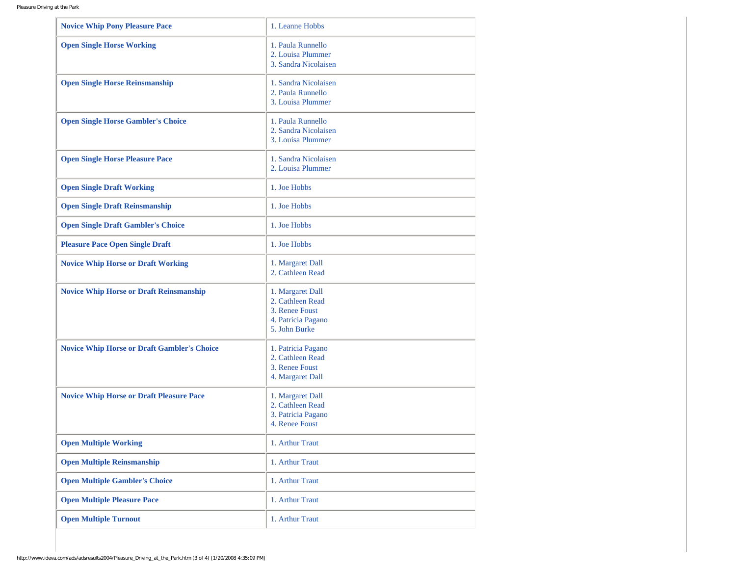| <b>Novice Whip Pony Pleasure Pace</b>              | 1. Leanne Hobbs                                                                               |
|----------------------------------------------------|-----------------------------------------------------------------------------------------------|
| <b>Open Single Horse Working</b>                   | 1. Paula Runnello<br>2. Louisa Plummer<br>3. Sandra Nicolaisen                                |
| <b>Open Single Horse Reinsmanship</b>              | 1. Sandra Nicolaisen<br>2. Paula Runnello<br>3. Louisa Plummer                                |
| <b>Open Single Horse Gambler's Choice</b>          | 1. Paula Runnello<br>2. Sandra Nicolaisen<br>3. Louisa Plummer                                |
| <b>Open Single Horse Pleasure Pace</b>             | 1. Sandra Nicolaisen<br>2. Louisa Plummer                                                     |
| <b>Open Single Draft Working</b>                   | 1. Joe Hobbs                                                                                  |
| <b>Open Single Draft Reinsmanship</b>              | 1. Joe Hobbs                                                                                  |
| <b>Open Single Draft Gambler's Choice</b>          | 1. Joe Hobbs                                                                                  |
| <b>Pleasure Pace Open Single Draft</b>             | 1. Joe Hobbs                                                                                  |
| <b>Novice Whip Horse or Draft Working</b>          | 1. Margaret Dall<br>2. Cathleen Read                                                          |
| <b>Novice Whip Horse or Draft Reinsmanship</b>     | 1. Margaret Dall<br>2. Cathleen Read<br>3. Renee Foust<br>4. Patricia Pagano<br>5. John Burke |
| <b>Novice Whip Horse or Draft Gambler's Choice</b> | 1. Patricia Pagano<br>2. Cathleen Read<br>3. Renee Foust<br>4. Margaret Dall                  |
| <b>Novice Whip Horse or Draft Pleasure Pace</b>    | 1. Margaret Dall<br>2. Cathleen Read<br>3. Patricia Pagano<br>4. Renee Foust                  |
| <b>Open Multiple Working</b>                       | 1. Arthur Traut                                                                               |
| <b>Open Multiple Reinsmanship</b>                  | 1. Arthur Traut                                                                               |
| <b>Open Multiple Gambler's Choice</b>              | 1. Arthur Traut                                                                               |
| <b>Open Multiple Pleasure Pace</b>                 | 1. Arthur Traut                                                                               |
| <b>Open Multiple Turnout</b>                       | 1. Arthur Traut                                                                               |